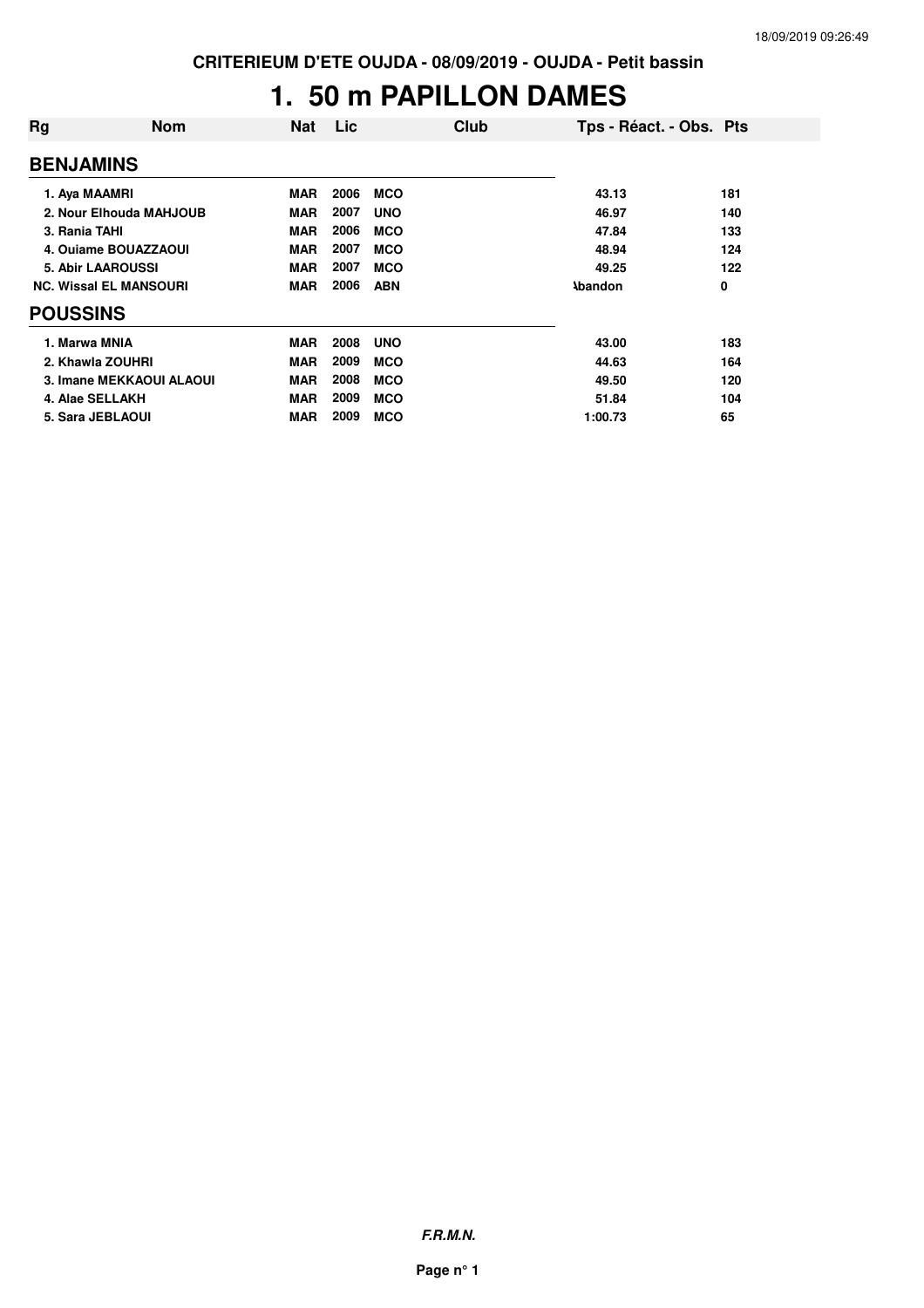# **1. 50 m PAPILLON DAMES**

| Rg                            | <b>Nom</b> | <b>Nat</b> | Lic  |            | Club | Tps - Réact. - Obs. Pts |     |
|-------------------------------|------------|------------|------|------------|------|-------------------------|-----|
| <b>BENJAMINS</b>              |            |            |      |            |      |                         |     |
| 1. Aya MAAMRI                 |            | <b>MAR</b> | 2006 | <b>MCO</b> |      | 43.13                   | 181 |
| 2. Nour Elhouda MAHJOUB       |            | <b>MAR</b> | 2007 | <b>UNO</b> |      | 46.97                   | 140 |
| 3. Rania TAHI                 |            | <b>MAR</b> | 2006 | <b>MCO</b> |      | 47.84                   | 133 |
| 4. Ouiame BOUAZZAOUI          |            | <b>MAR</b> | 2007 | <b>MCO</b> |      | 48.94                   | 124 |
| <b>5. Abir LAAROUSSI</b>      |            | <b>MAR</b> | 2007 | <b>MCO</b> |      | 49.25                   | 122 |
| <b>NC. Wissal EL MANSOURI</b> |            | <b>MAR</b> | 2006 | <b>ABN</b> |      | <b>Abandon</b>          | 0   |
| <b>POUSSINS</b>               |            |            |      |            |      |                         |     |
| 1. Marwa MNIA                 |            | <b>MAR</b> | 2008 | <b>UNO</b> |      | 43.00                   | 183 |
| 2. Khawla ZOUHRI              |            | <b>MAR</b> | 2009 | <b>MCO</b> |      | 44.63                   | 164 |
| 3. Imane MEKKAOUI ALAOUI      |            | <b>MAR</b> | 2008 | <b>MCO</b> |      | 49.50                   | 120 |
| 4. Alae SELLAKH               |            | <b>MAR</b> | 2009 | <b>MCO</b> |      | 51.84                   | 104 |
| 5. Sara JEBLAOUI              |            | <b>MAR</b> | 2009 | <b>MCO</b> |      | 1:00.73                 | 65  |

**F.R.M.N.**

**Page n° 1**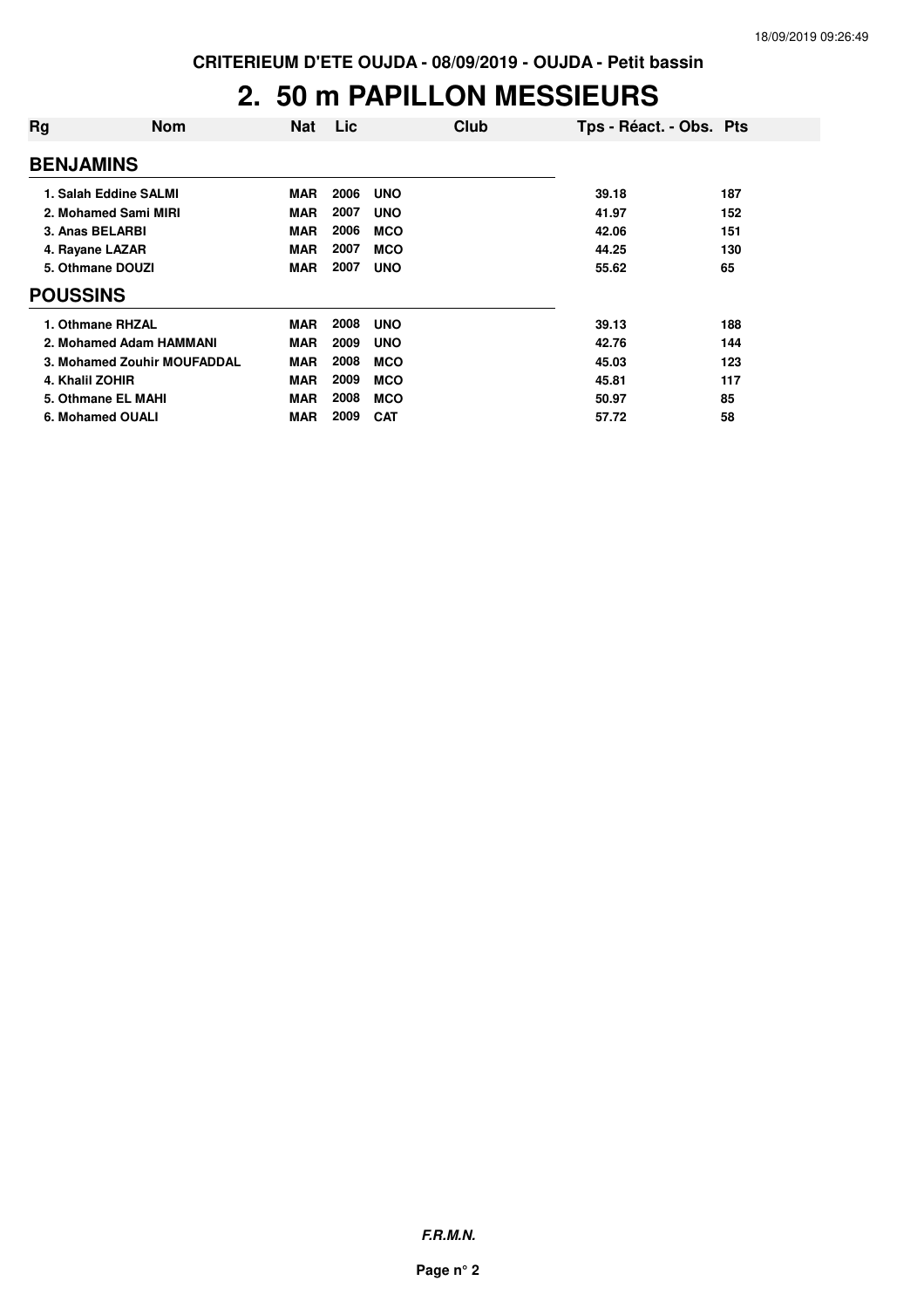### **2. 50 m PAPILLON MESSIEURS**

| Rg               | <b>Nom</b>                  | <b>Nat</b> | Lic  | Club       | Tps - Réact. - Obs. Pts |     |
|------------------|-----------------------------|------------|------|------------|-------------------------|-----|
| <b>BENJAMINS</b> |                             |            |      |            |                         |     |
|                  | 1. Salah Eddine SALMI       | <b>MAR</b> | 2006 | <b>UNO</b> | 39.18                   | 187 |
|                  | 2. Mohamed Sami MIRI        | <b>MAR</b> | 2007 | <b>UNO</b> | 41.97                   | 152 |
|                  | 3. Anas BELARBI             | <b>MAR</b> | 2006 | <b>MCO</b> | 42.06                   | 151 |
|                  | 4. Rayane LAZAR             | <b>MAR</b> | 2007 | <b>MCO</b> | 44.25                   | 130 |
|                  | 5. Othmane DOUZI            | <b>MAR</b> | 2007 | <b>UNO</b> | 55.62                   | 65  |
| <b>POUSSINS</b>  |                             |            |      |            |                         |     |
|                  | 1. Othmane RHZAL            | <b>MAR</b> | 2008 | <b>UNO</b> | 39.13                   | 188 |
|                  | 2. Mohamed Adam HAMMANI     | <b>MAR</b> | 2009 | <b>UNO</b> | 42.76                   | 144 |
|                  | 3. Mohamed Zouhir MOUFADDAL | <b>MAR</b> | 2008 | <b>MCO</b> | 45.03                   | 123 |
|                  | 4. Khalil ZOHIR             | <b>MAR</b> | 2009 | <b>MCO</b> | 45.81                   | 117 |
|                  | 5. Othmane EL MAHI          | <b>MAR</b> | 2008 | <b>MCO</b> | 50.97                   | 85  |
|                  | 6. Mohamed OUALI            | <b>MAR</b> | 2009 | <b>CAT</b> | 57.72                   | 58  |

**F.R.M.N.**

**Page n° 2**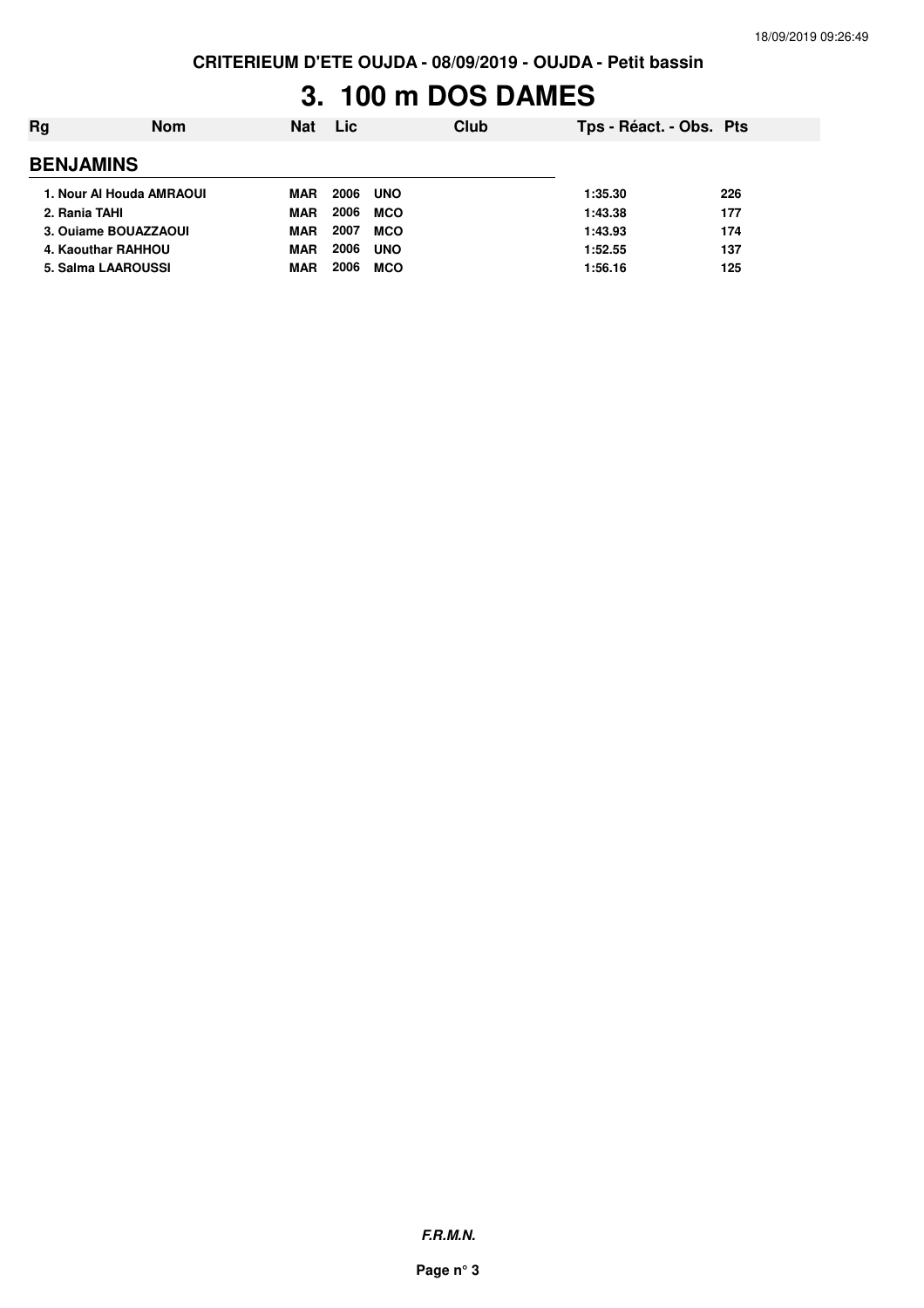# **3. 100 m DOS DAMES**

| Rg               | <b>Nom</b>               | <b>Nat</b> | <b>Lic</b> | Club       | Tps - Réact. - Obs. Pts |     |
|------------------|--------------------------|------------|------------|------------|-------------------------|-----|
| <b>BENJAMINS</b> |                          |            |            |            |                         |     |
|                  | 1. Nour Al Houda AMRAOUI | <b>MAR</b> | 2006       | <b>UNO</b> | 1:35.30                 | 226 |
| 2. Rania TAHI    |                          | <b>MAR</b> | 2006       | <b>MCO</b> | 1:43.38                 | 177 |
|                  | 3. Oujame BOUAZZAOUI     | <b>MAR</b> | 2007       | <b>MCO</b> | 1:43.93                 | 174 |
|                  | 4. Kaouthar RAHHOU       | <b>MAR</b> | 2006       | <b>UNO</b> | 1:52.55                 | 137 |
|                  | 5. Salma LAAROUSSI       | MAR        | 2006       | <b>MCO</b> | 1:56.16                 | 125 |
|                  |                          |            |            |            |                         |     |

**F.R.M.N.**

**Page n° 3**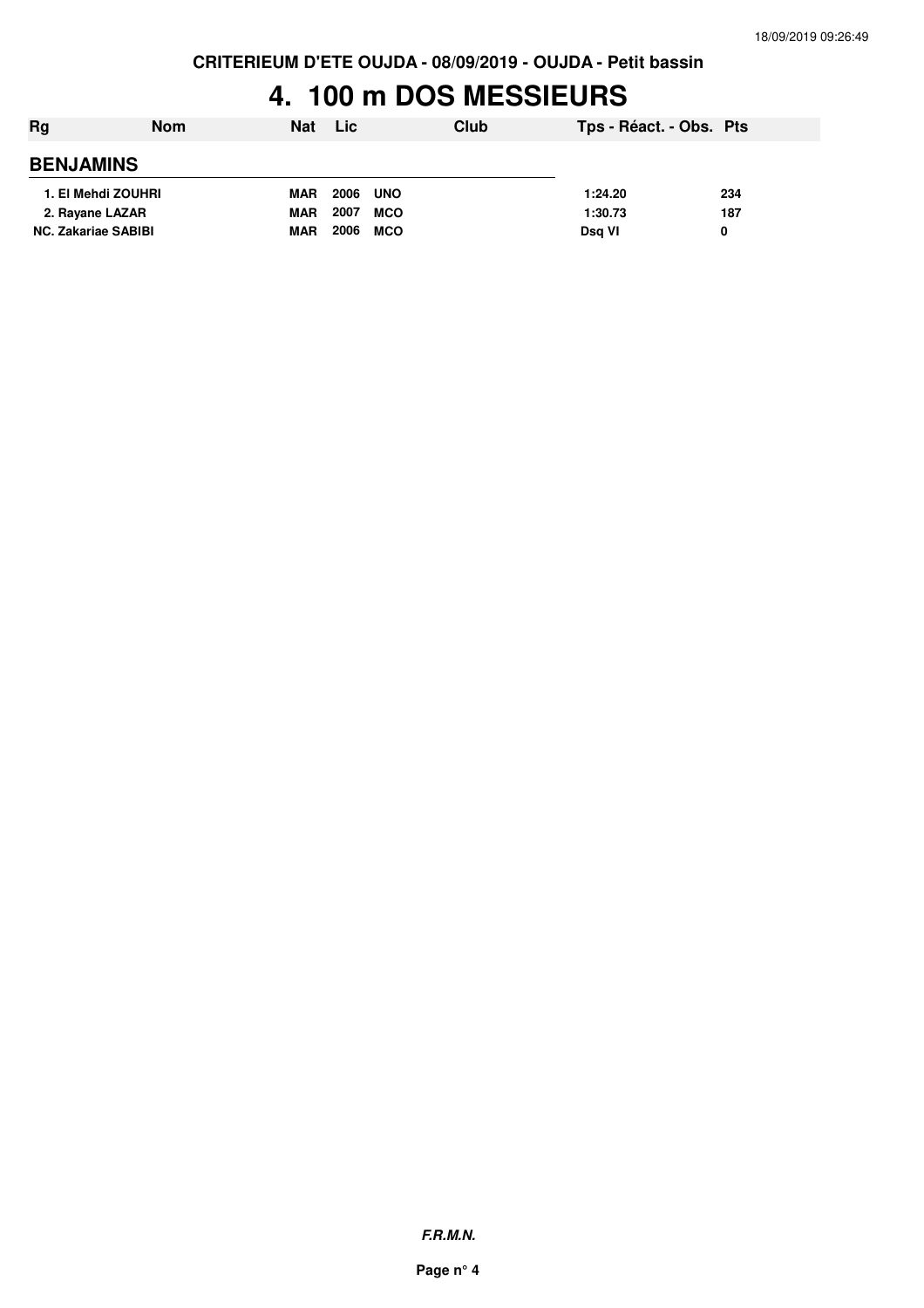# **4. 100 m DOS MESSIEURS**

| Rg                         | <b>Nom</b> | <b>Nat</b> | <b>Lic</b> |            | Club | Tps - Réact. - Obs. Pts |     |
|----------------------------|------------|------------|------------|------------|------|-------------------------|-----|
| <b>BENJAMINS</b>           |            |            |            |            |      |                         |     |
| 1. El Mehdi ZOUHRI         |            | <b>MAR</b> | 2006       | <b>UNO</b> |      | 1:24.20                 | 234 |
| 2. Rayane LAZAR            |            | <b>MAR</b> | 2007       | <b>MCO</b> |      | 1:30.73                 | 187 |
| <b>NC. Zakariae SABIBI</b> |            | <b>MAR</b> | 2006       | <b>MCO</b> |      | Dsg VI                  | 0   |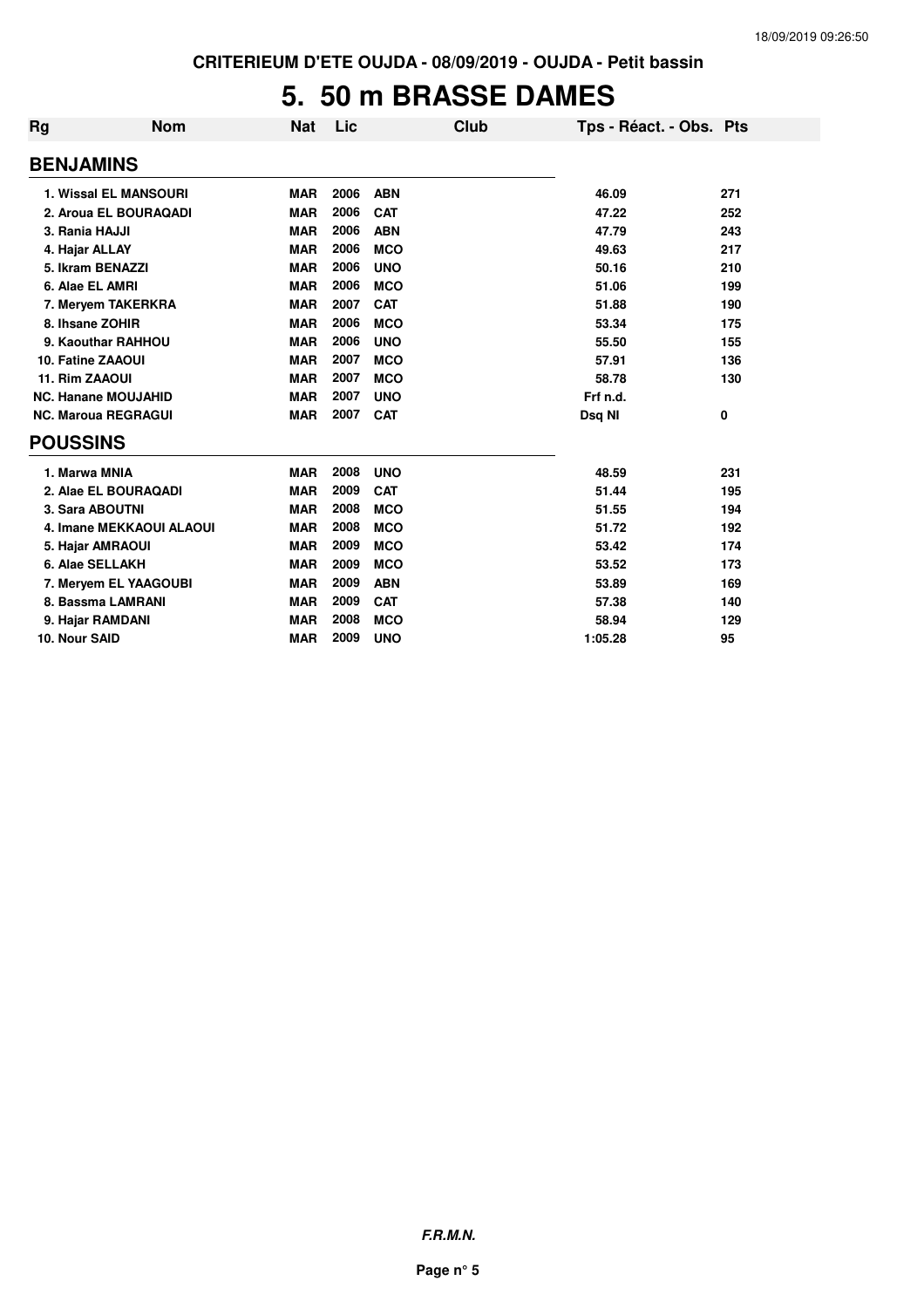# **5. 50 m BRASSE DAMES**

| <b>Rg</b>                | <b>Nom</b>                      | <b>Nat</b> | Lic  | Club       | Tps - Réact. - Obs. Pts |     |
|--------------------------|---------------------------------|------------|------|------------|-------------------------|-----|
| <b>BENJAMINS</b>         |                                 |            |      |            |                         |     |
|                          | <b>1. Wissal EL MANSOURI</b>    | <b>MAR</b> | 2006 | <b>ABN</b> | 46.09                   | 271 |
|                          | 2. Aroua EL BOURAQADI           | <b>MAR</b> | 2006 | <b>CAT</b> | 47.22                   | 252 |
| 3. Rania HAJJI           |                                 | <b>MAR</b> | 2006 | <b>ABN</b> | 47.79                   | 243 |
| 4. Hajar ALLAY           |                                 | <b>MAR</b> | 2006 | <b>MCO</b> | 49.63                   | 217 |
|                          | 5. Ikram BENAZZI                | <b>MAR</b> | 2006 | <b>UNO</b> | 50.16                   | 210 |
| 6. Alae EL AMRI          |                                 | <b>MAR</b> | 2006 | <b>MCO</b> | 51.06                   | 199 |
|                          | 7. Meryem TAKERKRA              | <b>MAR</b> | 2007 | <b>CAT</b> | 51.88                   | 190 |
| 8. Ihsane ZOHIR          |                                 | <b>MAR</b> | 2006 | <b>MCO</b> | 53.34                   | 175 |
|                          | 9. Kaouthar RAHHOU              | <b>MAR</b> | 2006 | <b>UNO</b> | 55.50                   | 155 |
| <b>10. Fatine ZAAOUI</b> |                                 | <b>MAR</b> | 2007 | <b>MCO</b> | 57.91                   | 136 |
| 11. Rim ZAAOUI           |                                 | <b>MAR</b> | 2007 | <b>MCO</b> | 58.78                   | 130 |
|                          | <b>NC. Hanane MOUJAHID</b>      | <b>MAR</b> | 2007 | <b>UNO</b> | Frf n.d.                |     |
|                          | <b>NC. Maroua REGRAGUI</b>      | <b>MAR</b> | 2007 | <b>CAT</b> | Dsg NI                  | 0   |
| <b>POUSSINS</b>          |                                 |            |      |            |                         |     |
| 1. Marwa MNIA            |                                 | <b>MAR</b> | 2008 | <b>UNO</b> | 48.59                   | 231 |
|                          | 2. Alae EL BOURAQADI            | <b>MAR</b> | 2009 | <b>CAT</b> | 51.44                   | 195 |
|                          | 3. Sara ABOUTNI                 | <b>MAR</b> | 2008 | <b>MCO</b> | 51.55                   | 194 |
|                          | <b>4. Imane MEKKAOUI ALAOUI</b> | <b>MAR</b> | 2008 | <b>MCO</b> | 51.72                   | 192 |
|                          | 5. Hajar AMRAOUI                | <b>MAR</b> | 2009 | <b>MCO</b> | 53.42                   | 174 |
|                          | 6. Alae SELLAKH                 | <b>MAR</b> | 2009 | <b>MCO</b> | 53.52                   | 173 |
|                          | 7. Meryem EL YAAGOUBI           | <b>MAR</b> | 2009 | <b>ABN</b> | 53.89                   | 169 |
|                          | 8. Bassma LAMRANI               | <b>MAR</b> | 2009 | <b>CAT</b> | 57.38                   | 140 |
|                          | 9. Hajar RAMDANI                | <b>MAR</b> | 2008 | <b>MCO</b> | 58.94                   | 129 |
| 10. Nour SAID            |                                 | <b>MAR</b> | 2009 | <b>UNO</b> | 1:05.28                 | 95  |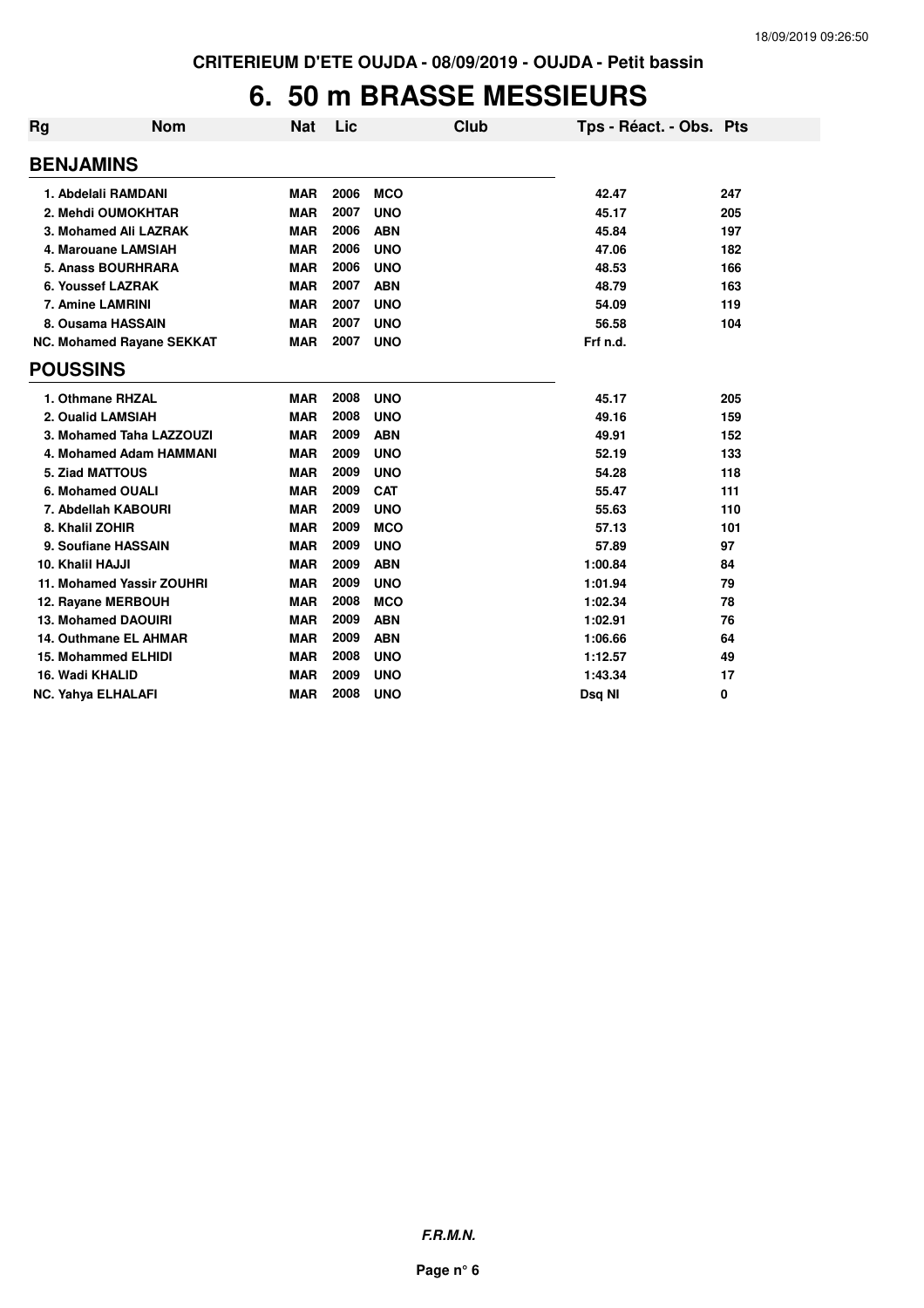### **6. 50 m BRASSE MESSIEURS**

| Rg               | <b>Nom</b>                       | Nat        | Lic  | Club       | Tps - Réact. - Obs. Pts |     |
|------------------|----------------------------------|------------|------|------------|-------------------------|-----|
| <b>BENJAMINS</b> |                                  |            |      |            |                         |     |
|                  | 1. Abdelali RAMDANI              | <b>MAR</b> | 2006 | <b>MCO</b> | 42.47                   | 247 |
|                  | 2. Mehdi OUMOKHTAR               | <b>MAR</b> | 2007 | <b>UNO</b> | 45.17                   | 205 |
|                  | 3. Mohamed Ali LAZRAK            | <b>MAR</b> | 2006 | <b>ABN</b> | 45.84                   | 197 |
|                  | 4. Marouane LAMSIAH              | <b>MAR</b> | 2006 | <b>UNO</b> | 47.06                   | 182 |
|                  | 5. Anass BOURHRARA               | <b>MAR</b> | 2006 | <b>UNO</b> | 48.53                   | 166 |
|                  | 6. Youssef LAZRAK                | <b>MAR</b> | 2007 | <b>ABN</b> | 48.79                   | 163 |
|                  | 7. Amine LAMRINI                 | <b>MAR</b> | 2007 | <b>UNO</b> | 54.09                   | 119 |
|                  | 8. Ousama HASSAIN                | <b>MAR</b> | 2007 | <b>UNO</b> | 56.58                   | 104 |
|                  | <b>NC. Mohamed Rayane SEKKAT</b> | <b>MAR</b> | 2007 | <b>UNO</b> | Frf n.d.                |     |
| <b>POUSSINS</b>  |                                  |            |      |            |                         |     |
|                  | 1. Othmane RHZAL                 | <b>MAR</b> | 2008 | <b>UNO</b> | 45.17                   | 205 |
|                  | 2. Oualid LAMSIAH                | <b>MAR</b> | 2008 | <b>UNO</b> | 49.16                   | 159 |
|                  | 3. Mohamed Taha LAZZOUZI         | <b>MAR</b> | 2009 | <b>ABN</b> | 49.91                   | 152 |
|                  | 4. Mohamed Adam HAMMANI          | <b>MAR</b> | 2009 | <b>UNO</b> | 52.19                   | 133 |
|                  | 5. Ziad MATTOUS                  | <b>MAR</b> | 2009 | <b>UNO</b> | 54.28                   | 118 |
|                  | 6. Mohamed OUALI                 | <b>MAR</b> | 2009 | <b>CAT</b> | 55.47                   | 111 |
|                  | 7. Abdellah KABOURI              | <b>MAR</b> | 2009 | <b>UNO</b> | 55.63                   | 110 |
|                  | 8. Khalil ZOHIR                  | <b>MAR</b> | 2009 | <b>MCO</b> | 57.13                   | 101 |
|                  | 9. Soufiane HASSAIN              | <b>MAR</b> | 2009 | <b>UNO</b> | 57.89                   | 97  |
| 10. Khalil HAJJI |                                  | <b>MAR</b> | 2009 | <b>ABN</b> | 1:00.84                 | 84  |
|                  | 11. Mohamed Yassir ZOUHRI        | <b>MAR</b> | 2009 | <b>UNO</b> | 1:01.94                 | 79  |
|                  | 12. Rayane MERBOUH               | <b>MAR</b> | 2008 | <b>MCO</b> | 1:02.34                 | 78  |
|                  | <b>13. Mohamed DAOUIRI</b>       | <b>MAR</b> | 2009 | <b>ABN</b> | 1:02.91                 | 76  |
|                  | 14. Outhmane EL AHMAR            | <b>MAR</b> | 2009 | <b>ABN</b> | 1:06.66                 | 64  |
|                  | <b>15. Mohammed ELHIDI</b>       | <b>MAR</b> | 2008 | <b>UNO</b> | 1:12.57                 | 49  |
|                  | 16. Wadi KHALID                  | <b>MAR</b> | 2009 | <b>UNO</b> | 1:43.34                 | 17  |
|                  | NC. Yahya ELHALAFI               | <b>MAR</b> | 2008 | <b>UNO</b> | Dsq NI                  | 0   |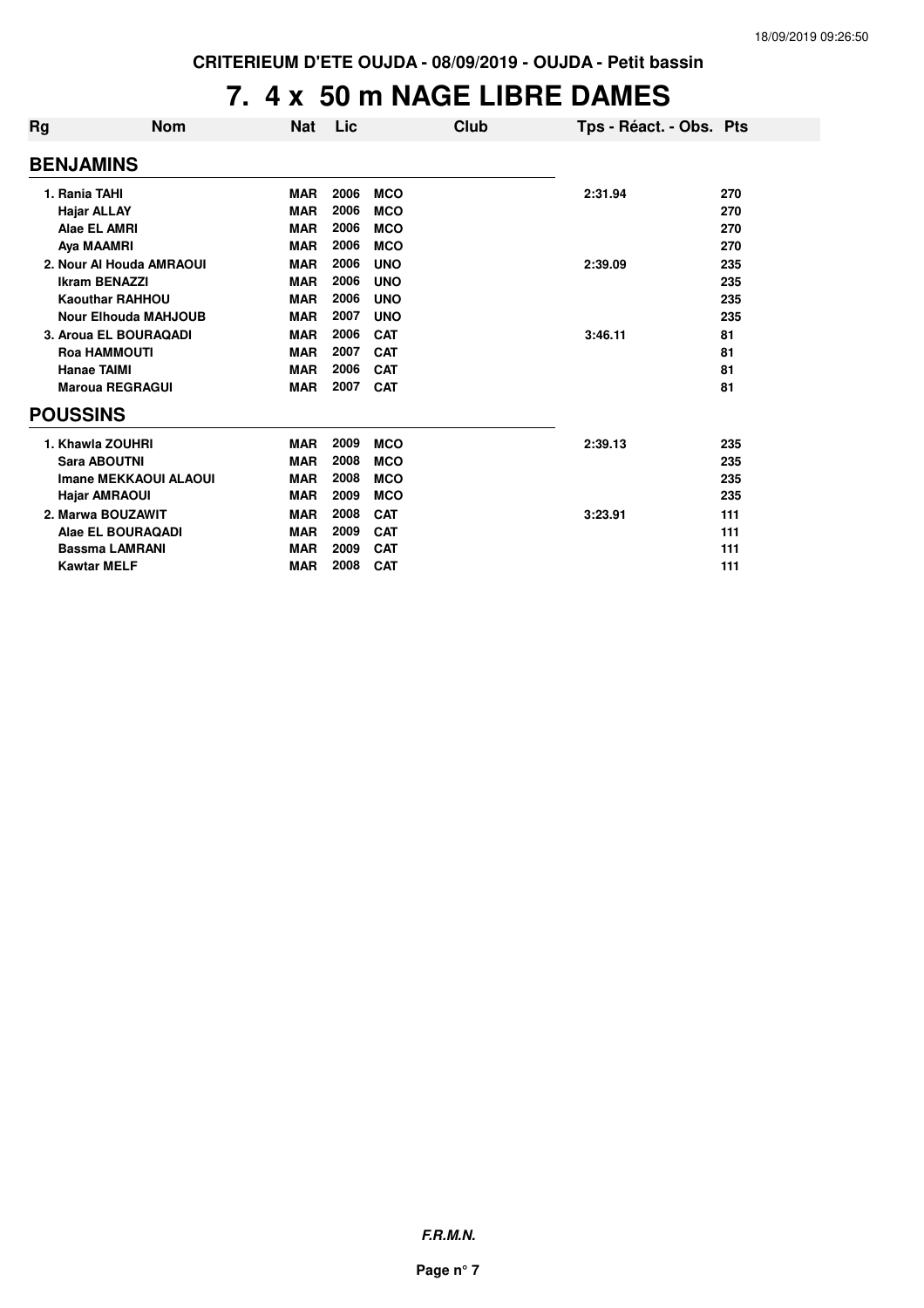# **7. 4 x 50 m NAGE LIBRE DAMES**

| Rg | <b>Nom</b>                   | <b>Nat</b> | Lic  | Club       | Tps - Réact. - Obs. Pts |     |
|----|------------------------------|------------|------|------------|-------------------------|-----|
|    | <b>BENJAMINS</b>             |            |      |            |                         |     |
|    | 1. Rania TAHI                | <b>MAR</b> | 2006 | <b>MCO</b> | 2:31.94                 | 270 |
|    | <b>Hajar ALLAY</b>           | <b>MAR</b> | 2006 | <b>MCO</b> |                         | 270 |
|    | Alae EL AMRI                 | <b>MAR</b> | 2006 | <b>MCO</b> |                         | 270 |
|    | Aya MAAMRI                   | <b>MAR</b> | 2006 | <b>MCO</b> |                         | 270 |
|    | 2. Nour Al Houda AMRAOUI     | <b>MAR</b> | 2006 | <b>UNO</b> | 2:39.09                 | 235 |
|    | <b>Ikram BENAZZI</b>         | <b>MAR</b> | 2006 | <b>UNO</b> |                         | 235 |
|    | <b>Kaouthar RAHHOU</b>       | <b>MAR</b> | 2006 | <b>UNO</b> |                         | 235 |
|    | <b>Nour Elhouda MAHJOUB</b>  | <b>MAR</b> | 2007 | <b>UNO</b> |                         | 235 |
|    | 3. Aroua EL BOURAQADI        | <b>MAR</b> | 2006 | <b>CAT</b> | 3:46.11                 | 81  |
|    | <b>Roa HAMMOUTI</b>          | <b>MAR</b> | 2007 | <b>CAT</b> |                         | 81  |
|    | <b>Hanae TAIMI</b>           | <b>MAR</b> | 2006 | <b>CAT</b> |                         | 81  |
|    | <b>Maroua REGRAGUI</b>       | <b>MAR</b> | 2007 | <b>CAT</b> |                         | 81  |
|    | <b>POUSSINS</b>              |            |      |            |                         |     |
|    | 1. Khawla ZOUHRI             | <b>MAR</b> | 2009 | <b>MCO</b> | 2:39.13                 | 235 |
|    | <b>Sara ABOUTNI</b>          | <b>MAR</b> | 2008 | <b>MCO</b> |                         | 235 |
|    | <b>Imane MEKKAOUI ALAOUI</b> | <b>MAR</b> | 2008 | <b>MCO</b> |                         | 235 |
|    | <b>Hajar AMRAOUI</b>         | <b>MAR</b> | 2009 | <b>MCO</b> |                         | 235 |
|    | 2. Marwa BOUZAWIT            | <b>MAR</b> | 2008 | <b>CAT</b> | 3:23.91                 | 111 |
|    | Alae EL BOURAQADI            | <b>MAR</b> | 2009 | <b>CAT</b> |                         | 111 |
|    | <b>Bassma LAMRANI</b>        | <b>MAR</b> | 2009 | <b>CAT</b> |                         | 111 |
|    | <b>Kawtar MELF</b>           | <b>MAR</b> | 2008 | <b>CAT</b> |                         | 111 |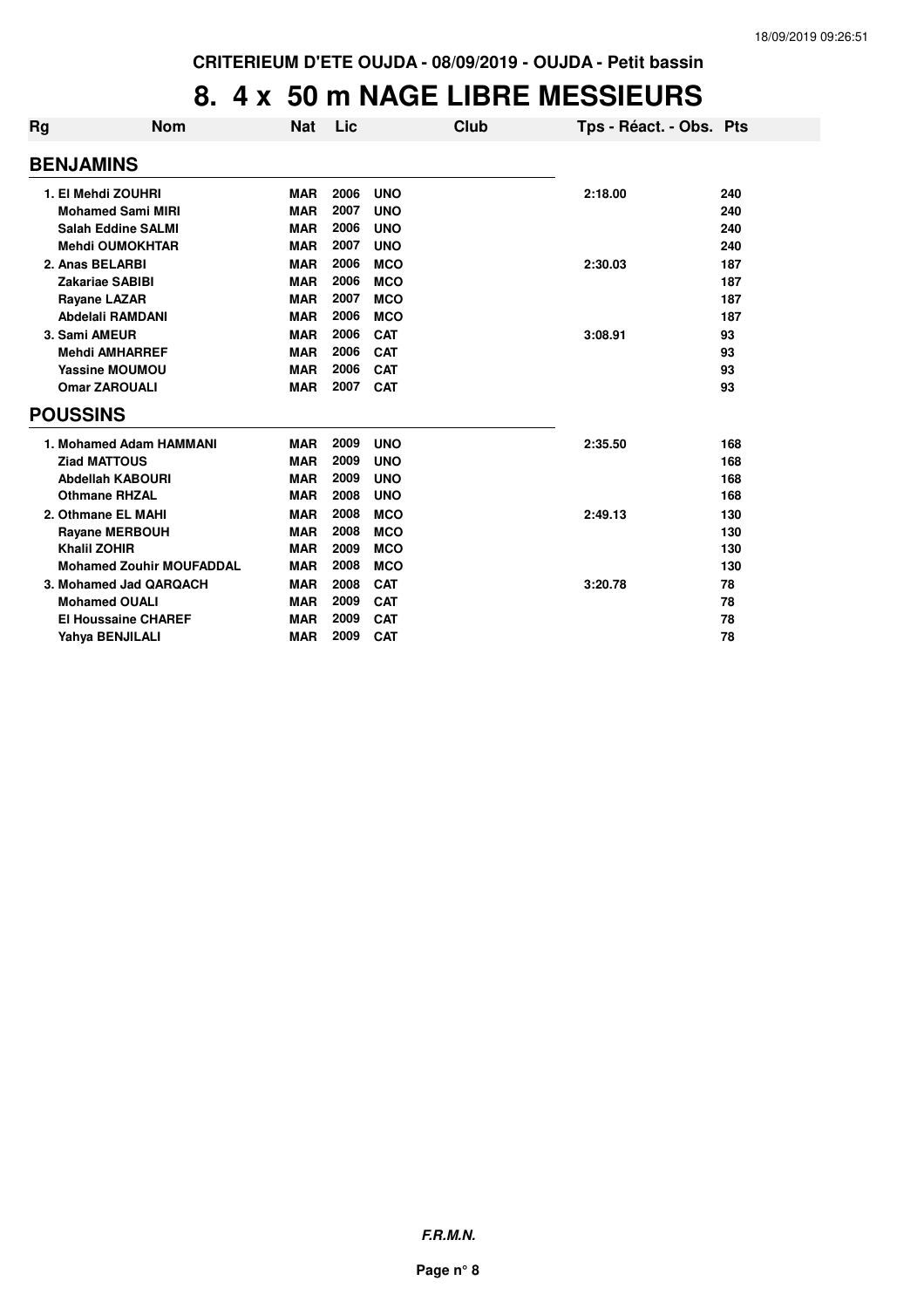#### **8. 4 x 50 m NAGE LIBRE MESSIEURS**

| Rg              | <b>Nom</b>                      | Nat        | Lic  |            | Club | Tps - Réact. - Obs. Pts |     |
|-----------------|---------------------------------|------------|------|------------|------|-------------------------|-----|
|                 | <b>BENJAMINS</b>                |            |      |            |      |                         |     |
|                 | 1. El Mehdi ZOUHRI              | <b>MAR</b> | 2006 | <b>UNO</b> |      | 2:18.00                 | 240 |
|                 | <b>Mohamed Sami MIRI</b>        | <b>MAR</b> | 2007 | <b>UNO</b> |      |                         | 240 |
|                 | <b>Salah Eddine SALMI</b>       | <b>MAR</b> | 2006 | <b>UNO</b> |      |                         | 240 |
|                 | <b>Mehdi OUMOKHTAR</b>          | <b>MAR</b> | 2007 | <b>UNO</b> |      |                         | 240 |
|                 | 2. Anas BELARBI                 | <b>MAR</b> | 2006 | <b>MCO</b> |      | 2:30.03                 | 187 |
|                 | <b>Zakariae SABIBI</b>          | <b>MAR</b> | 2006 | <b>MCO</b> |      |                         | 187 |
|                 | <b>Rayane LAZAR</b>             | <b>MAR</b> | 2007 | <b>MCO</b> |      |                         | 187 |
|                 | Abdelali RAMDANI                | <b>MAR</b> | 2006 | <b>MCO</b> |      |                         | 187 |
|                 | 3. Sami AMEUR                   | <b>MAR</b> | 2006 | <b>CAT</b> |      | 3:08.91                 | 93  |
|                 | <b>Mehdi AMHARREF</b>           | <b>MAR</b> | 2006 | <b>CAT</b> |      |                         | 93  |
|                 | <b>Yassine MOUMOU</b>           | <b>MAR</b> | 2006 | <b>CAT</b> |      |                         | 93  |
|                 | <b>Omar ZAROUALI</b>            | <b>MAR</b> | 2007 | <b>CAT</b> |      |                         | 93  |
| <b>POUSSINS</b> |                                 |            |      |            |      |                         |     |
|                 | 1. Mohamed Adam HAMMANI         | <b>MAR</b> | 2009 | <b>UNO</b> |      | 2:35.50                 | 168 |
|                 | <b>Ziad MATTOUS</b>             | <b>MAR</b> | 2009 | <b>UNO</b> |      |                         | 168 |
|                 | <b>Abdellah KABOURI</b>         | <b>MAR</b> | 2009 | <b>UNO</b> |      |                         | 168 |
|                 | <b>Othmane RHZAL</b>            | <b>MAR</b> | 2008 | <b>UNO</b> |      |                         | 168 |
|                 | 2. Othmane EL MAHI              | <b>MAR</b> | 2008 | <b>MCO</b> |      | 2:49.13                 | 130 |
|                 | <b>Rayane MERBOUH</b>           | <b>MAR</b> | 2008 | <b>MCO</b> |      |                         | 130 |
|                 | <b>Khalil ZOHIR</b>             | <b>MAR</b> | 2009 | <b>MCO</b> |      |                         | 130 |
|                 | <b>Mohamed Zouhir MOUFADDAL</b> | <b>MAR</b> | 2008 | <b>MCO</b> |      |                         | 130 |
|                 | 3. Mohamed Jad QARQACH          | <b>MAR</b> | 2008 | <b>CAT</b> |      | 3:20.78                 | 78  |
|                 | <b>Mohamed OUALI</b>            | <b>MAR</b> | 2009 | <b>CAT</b> |      |                         | 78  |
|                 | <b>El Houssaine CHAREF</b>      | <b>MAR</b> | 2009 | <b>CAT</b> |      |                         | 78  |
|                 | Yahya BENJILALI                 | <b>MAR</b> | 2009 | <b>CAT</b> |      |                         | 78  |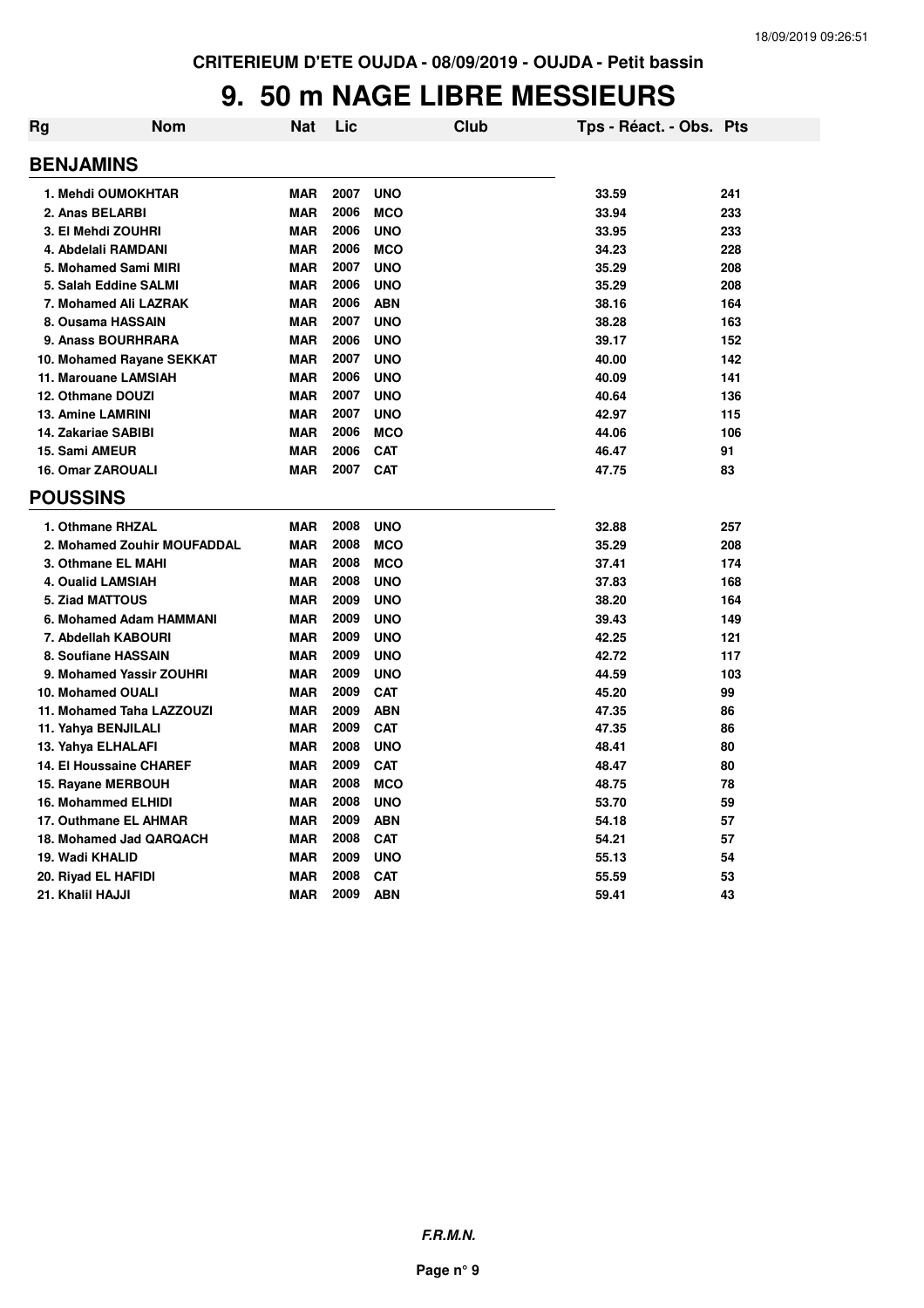#### **9. 50 m NAGE LIBRE MESSIEURS**

| Rg                    | <b>Nom</b>                     | Nat        | Lic  | Club       | Tps - Réact. - Obs. Pts |     |
|-----------------------|--------------------------------|------------|------|------------|-------------------------|-----|
| <b>BENJAMINS</b>      |                                |            |      |            |                         |     |
|                       | 1. Mehdi OUMOKHTAR             | <b>MAR</b> | 2007 | <b>UNO</b> | 33.59                   | 241 |
|                       | 2. Anas BELARBI                | <b>MAR</b> | 2006 | <b>MCO</b> | 33.94                   | 233 |
|                       | 3. El Mehdi ZOUHRI             | <b>MAR</b> | 2006 | <b>UNO</b> | 33.95                   | 233 |
|                       | 4. Abdelali RAMDANI            | <b>MAR</b> | 2006 | <b>MCO</b> | 34.23                   | 228 |
|                       | 5. Mohamed Sami MIRI           | <b>MAR</b> | 2007 | <b>UNO</b> | 35.29                   | 208 |
|                       | 5. Salah Eddine SALMI          | <b>MAR</b> | 2006 | <b>UNO</b> | 35.29                   | 208 |
|                       | 7. Mohamed Ali LAZRAK          | <b>MAR</b> | 2006 | <b>ABN</b> | 38.16                   | 164 |
|                       | 8. Ousama HASSAIN              | <b>MAR</b> | 2007 | <b>UNO</b> | 38.28                   | 163 |
|                       | 9. Anass BOURHRARA             | <b>MAR</b> | 2006 | <b>UNO</b> | 39.17                   | 152 |
|                       | 10. Mohamed Rayane SEKKAT      | <b>MAR</b> | 2007 | <b>UNO</b> | 40.00                   | 142 |
|                       | 11. Marouane LAMSIAH           | <b>MAR</b> | 2006 | <b>UNO</b> | 40.09                   | 141 |
|                       | 12. Othmane DOUZI              | <b>MAR</b> | 2007 | <b>UNO</b> | 40.64                   | 136 |
|                       | <b>13. Amine LAMRINI</b>       | <b>MAR</b> | 2007 | <b>UNO</b> | 42.97                   | 115 |
|                       | 14. Zakariae SABIBI            | <b>MAR</b> | 2006 | <b>MCO</b> | 44.06                   | 106 |
| <b>15. Sami AMEUR</b> |                                | <b>MAR</b> | 2006 | <b>CAT</b> | 46.47                   | 91  |
|                       | <b>16. Omar ZAROUALI</b>       | <b>MAR</b> | 2007 | <b>CAT</b> | 47.75                   | 83  |
| <b>POUSSINS</b>       |                                |            |      |            |                         |     |
|                       | 1. Othmane RHZAL               | MAR        | 2008 | <b>UNO</b> | 32.88                   | 257 |
|                       | 2. Mohamed Zouhir MOUFADDAL    | <b>MAR</b> | 2008 | <b>MCO</b> | 35.29                   | 208 |
|                       | 3. Othmane EL MAHI             | <b>MAR</b> | 2008 | <b>MCO</b> | 37.41                   | 174 |
|                       | 4. Oualid LAMSIAH              | <b>MAR</b> | 2008 | <b>UNO</b> | 37.83                   | 168 |
|                       | 5. Ziad MATTOUS                | MAR        | 2009 | <b>UNO</b> | 38.20                   | 164 |
|                       | 6. Mohamed Adam HAMMANI        | <b>MAR</b> | 2009 | <b>UNO</b> | 39.43                   | 149 |
|                       | 7. Abdellah KABOURI            | MAR        | 2009 | <b>UNO</b> | 42.25                   | 121 |
|                       | 8. Soufiane HASSAIN            | <b>MAR</b> | 2009 | <b>UNO</b> | 42.72                   | 117 |
|                       | 9. Mohamed Yassir ZOUHRI       | <b>MAR</b> | 2009 | <b>UNO</b> | 44.59                   | 103 |
|                       | <b>10. Mohamed OUALI</b>       | <b>MAR</b> | 2009 | <b>CAT</b> | 45.20                   | 99  |
|                       | 11. Mohamed Taha LAZZOUZI      | <b>MAR</b> | 2009 | <b>ABN</b> | 47.35                   | 86  |
|                       | 11. Yahya BENJILALI            | <b>MAR</b> | 2009 | <b>CAT</b> | 47.35                   | 86  |
|                       | 13. Yahya ELHALAFI             | <b>MAR</b> | 2008 | <b>UNO</b> | 48.41                   | 80  |
|                       | <b>14. El Houssaine CHAREF</b> | MAR        | 2009 | <b>CAT</b> | 48.47                   | 80  |
|                       | 15. Rayane MERBOUH             | <b>MAR</b> | 2008 | <b>MCO</b> | 48.75                   | 78  |
|                       | <b>16. Mohammed ELHIDI</b>     | <b>MAR</b> | 2008 | <b>UNO</b> | 53.70                   | 59  |
|                       | 17. Outhmane EL AHMAR          | <b>MAR</b> | 2009 | <b>ABN</b> | 54.18                   | 57  |
|                       | 18. Mohamed Jad QARQACH        | <b>MAR</b> | 2008 | <b>CAT</b> | 54.21                   | 57  |
|                       | 19. Wadi KHALID                | <b>MAR</b> | 2009 | <b>UNO</b> | 55.13                   | 54  |
|                       | 20. Riyad EL HAFIDI            | <b>MAR</b> | 2008 | <b>CAT</b> | 55.59                   | 53  |
| 21. Khalil HAJJI      |                                | <b>MAR</b> | 2009 | <b>ABN</b> | 59.41                   | 43  |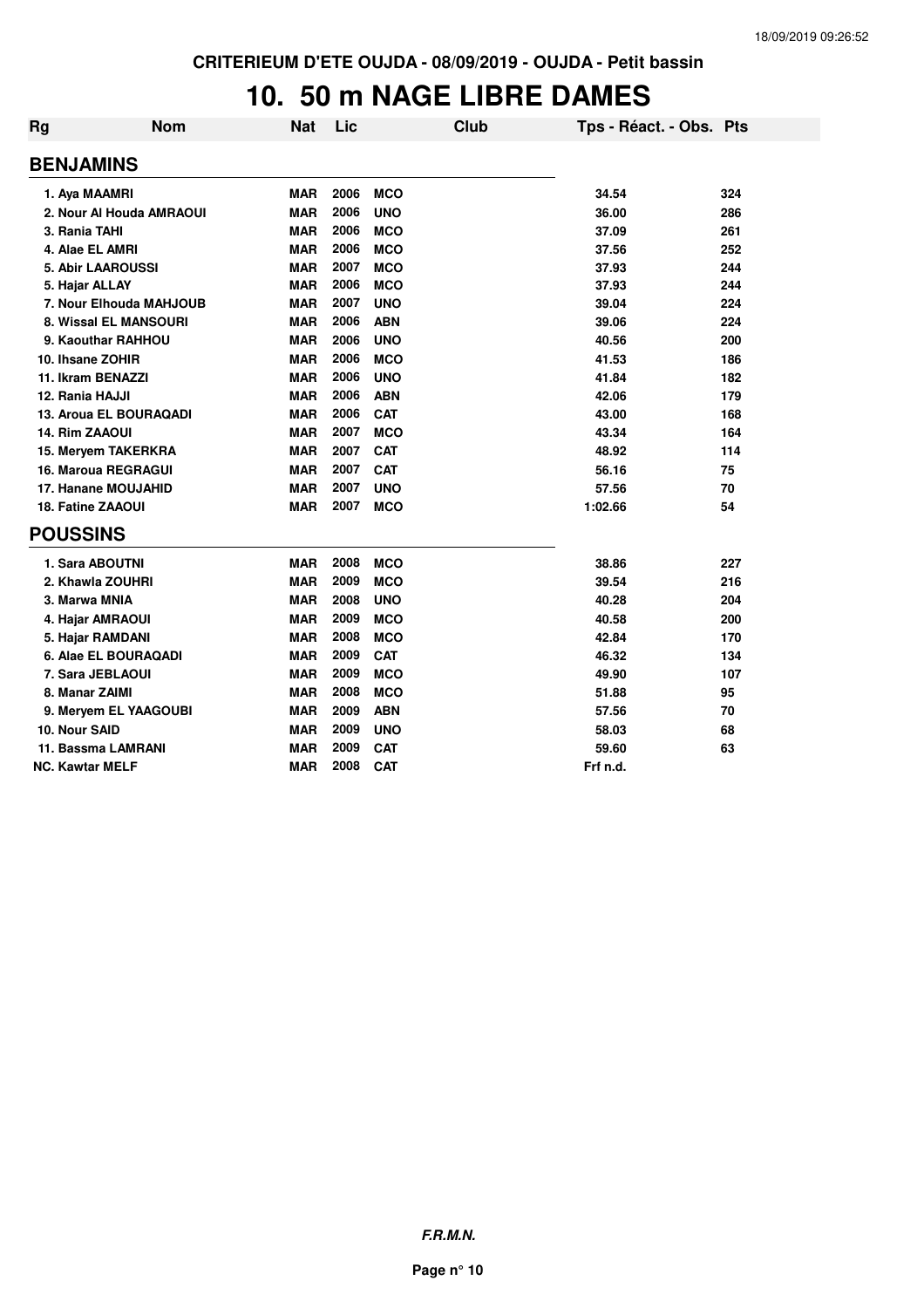### **10. 50 m NAGE LIBRE DAMES**

| Rg | <b>Nom</b>                 | <b>Nat</b> | Lic  |            | Club | Tps - Réact. - Obs. Pts |     |
|----|----------------------------|------------|------|------------|------|-------------------------|-----|
|    | <b>BENJAMINS</b>           |            |      |            |      |                         |     |
|    | 1. Aya MAAMRI              | <b>MAR</b> | 2006 | <b>MCO</b> |      | 34.54                   | 324 |
|    | 2. Nour Al Houda AMRAOUI   | <b>MAR</b> | 2006 | <b>UNO</b> |      | 36.00                   | 286 |
|    | 3. Rania TAHI              | <b>MAR</b> | 2006 | <b>MCO</b> |      | 37.09                   | 261 |
|    | 4. Alae EL AMRI            | <b>MAR</b> | 2006 | <b>MCO</b> |      | 37.56                   | 252 |
|    | 5. Abir LAAROUSSI          | <b>MAR</b> | 2007 | <b>MCO</b> |      | 37.93                   | 244 |
|    | 5. Hajar ALLAY             | <b>MAR</b> | 2006 | <b>MCO</b> |      | 37.93                   | 244 |
|    | 7. Nour Elhouda MAHJOUB    | <b>MAR</b> | 2007 | <b>UNO</b> |      | 39.04                   | 224 |
|    | 8. Wissal EL MANSOURI      | <b>MAR</b> | 2006 | <b>ABN</b> |      | 39.06                   | 224 |
|    | 9. Kaouthar RAHHOU         | <b>MAR</b> | 2006 | <b>UNO</b> |      | 40.56                   | 200 |
|    | 10. Ihsane ZOHIR           | <b>MAR</b> | 2006 | <b>MCO</b> |      | 41.53                   | 186 |
|    | 11. Ikram BENAZZI          | <b>MAR</b> | 2006 | <b>UNO</b> |      | 41.84                   | 182 |
|    | 12. Rania HAJJI            | <b>MAR</b> | 2006 | <b>ABN</b> |      | 42.06                   | 179 |
|    | 13. Aroua EL BOURAQADI     | <b>MAR</b> | 2006 | <b>CAT</b> |      | 43.00                   | 168 |
|    | <b>14. Rim ZAAOUI</b>      | <b>MAR</b> | 2007 | <b>MCO</b> |      | 43.34                   | 164 |
|    | 15. Mervem TAKERKRA        | <b>MAR</b> | 2007 | <b>CAT</b> |      | 48.92                   | 114 |
|    | <b>16. Maroua REGRAGUI</b> | <b>MAR</b> | 2007 | <b>CAT</b> |      | 56.16                   | 75  |
|    | 17. Hanane MOUJAHID        | <b>MAR</b> | 2007 | <b>UNO</b> |      | 57.56                   | 70  |
|    | <b>18. Fatine ZAAOUI</b>   | <b>MAR</b> | 2007 | <b>MCO</b> |      | 1:02.66                 | 54  |
|    | <b>POUSSINS</b>            |            |      |            |      |                         |     |
|    | 1. Sara ABOUTNI            | <b>MAR</b> | 2008 | <b>MCO</b> |      | 38.86                   | 227 |
|    | 2. Khawla ZOUHRI           | <b>MAR</b> | 2009 | <b>MCO</b> |      | 39.54                   | 216 |
|    | 3. Marwa MNIA              | <b>MAR</b> | 2008 | <b>UNO</b> |      | 40.28                   | 204 |
|    | 4. Hajar AMRAOUI           | <b>MAR</b> | 2009 | <b>MCO</b> |      | 40.58                   | 200 |
|    | 5. Hajar RAMDANI           | <b>MAR</b> | 2008 | <b>MCO</b> |      | 42.84                   | 170 |
|    | 6. Alae EL BOURAQADI       | <b>MAR</b> | 2009 | <b>CAT</b> |      | 46.32                   | 134 |
|    | 7. Sara JEBLAOUI           | <b>MAR</b> | 2009 | <b>MCO</b> |      | 49.90                   | 107 |
|    | 8. Manar ZAIMI             | <b>MAR</b> | 2008 | <b>MCO</b> |      | 51.88                   | 95  |
|    | 9. Meryem EL YAAGOUBI      | <b>MAR</b> | 2009 | <b>ABN</b> |      | 57.56                   | 70  |
|    | 10. Nour SAID              | <b>MAR</b> | 2009 | <b>UNO</b> |      | 58.03                   | 68  |
|    | 11. Bassma LAMRANI         | <b>MAR</b> | 2009 | <b>CAT</b> |      | 59.60                   | 63  |
|    | <b>NC. Kawtar MELF</b>     | <b>MAR</b> | 2008 | <b>CAT</b> |      | Frf n.d.                |     |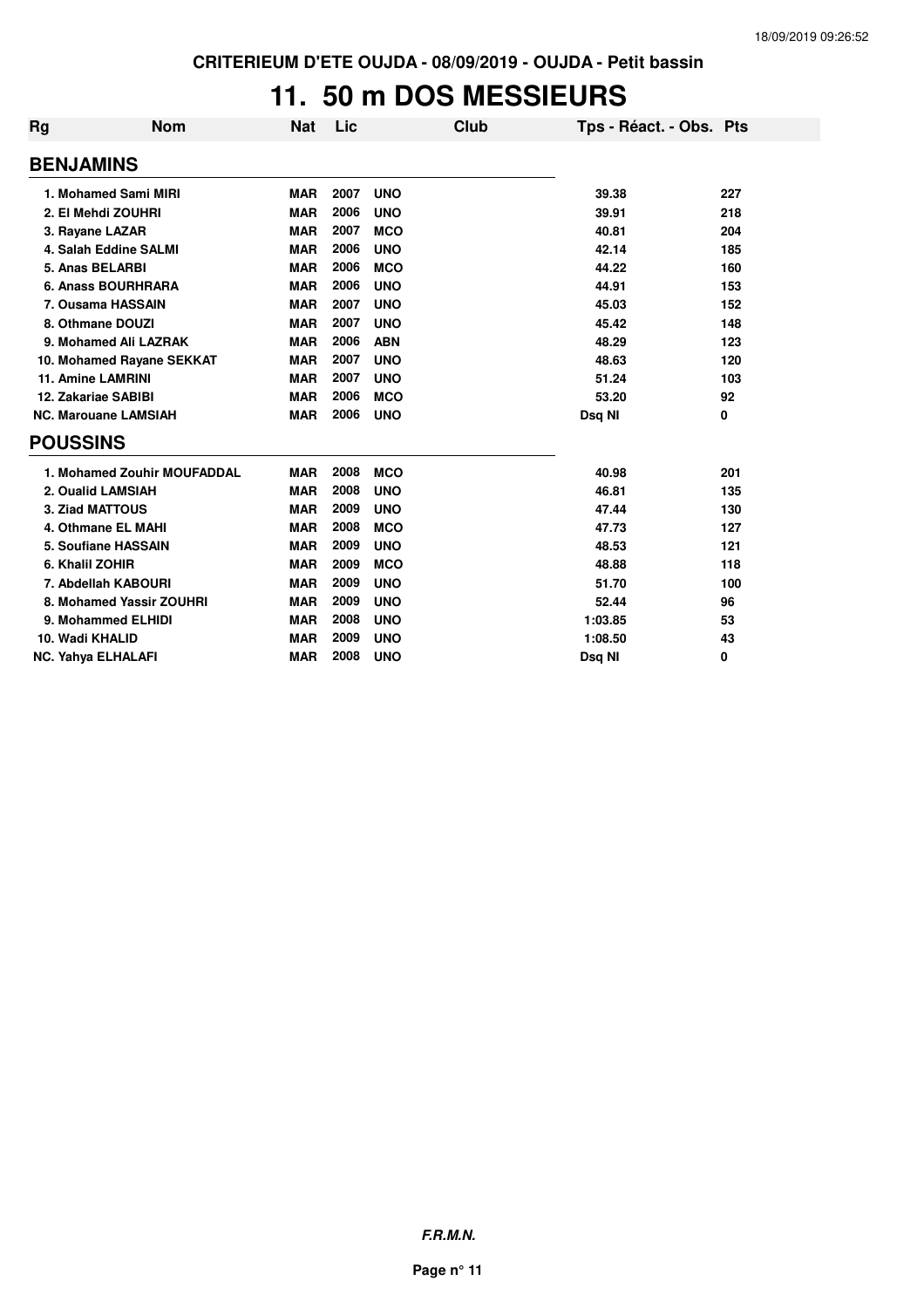### **11. 50 m DOS MESSIEURS**

| <b>Rg</b>        | <b>Nom</b>                  | <b>Nat</b> | Lic  | Club       | Tps - Réact. - Obs. Pts |     |
|------------------|-----------------------------|------------|------|------------|-------------------------|-----|
| <b>BENJAMINS</b> |                             |            |      |            |                         |     |
|                  | 1. Mohamed Sami MIRI        | <b>MAR</b> | 2007 | <b>UNO</b> | 39.38                   | 227 |
|                  | 2. El Mehdi ZOUHRI          | <b>MAR</b> | 2006 | <b>UNO</b> | 39.91                   | 218 |
|                  | 3. Rayane LAZAR             | <b>MAR</b> | 2007 | <b>MCO</b> | 40.81                   | 204 |
|                  | 4. Salah Eddine SALMI       | <b>MAR</b> | 2006 | <b>UNO</b> | 42.14                   | 185 |
|                  | 5. Anas BELARBI             | <b>MAR</b> | 2006 | <b>MCO</b> | 44.22                   | 160 |
|                  | 6. Anass BOURHRARA          | <b>MAR</b> | 2006 | <b>UNO</b> | 44.91                   | 153 |
|                  | 7. Ousama HASSAIN           | <b>MAR</b> | 2007 | <b>UNO</b> | 45.03                   | 152 |
|                  | 8. Othmane DOUZI            | <b>MAR</b> | 2007 | <b>UNO</b> | 45.42                   | 148 |
|                  | 9. Mohamed Ali LAZRAK       | <b>MAR</b> | 2006 | <b>ABN</b> | 48.29                   | 123 |
|                  | 10. Mohamed Rayane SEKKAT   | <b>MAR</b> | 2007 | <b>UNO</b> | 48.63                   | 120 |
|                  | <b>11. Amine LAMRINI</b>    | <b>MAR</b> | 2007 | <b>UNO</b> | 51.24                   | 103 |
|                  | 12. Zakariae SABIBI         | <b>MAR</b> | 2006 | <b>MCO</b> | 53.20                   | 92  |
|                  | <b>NC. Marouane LAMSIAH</b> | <b>MAR</b> | 2006 | <b>UNO</b> | Dsq NI                  | 0   |
| <b>POUSSINS</b>  |                             |            |      |            |                         |     |
|                  | 1. Mohamed Zouhir MOUFADDAL | <b>MAR</b> | 2008 | <b>MCO</b> | 40.98                   | 201 |
|                  | 2. Oualid LAMSIAH           | <b>MAR</b> | 2008 | <b>UNO</b> | 46.81                   | 135 |
|                  | 3. Ziad MATTOUS             | <b>MAR</b> | 2009 | <b>UNO</b> | 47.44                   | 130 |
|                  | 4. Othmane EL MAHI          | <b>MAR</b> | 2008 | <b>MCO</b> | 47.73                   | 127 |
|                  | 5. Soufiane HASSAIN         | <b>MAR</b> | 2009 | <b>UNO</b> | 48.53                   | 121 |
|                  | 6. Khalil ZOHIR             | <b>MAR</b> | 2009 | <b>MCO</b> | 48.88                   | 118 |
|                  | 7. Abdellah KABOURI         | <b>MAR</b> | 2009 | <b>UNO</b> | 51.70                   | 100 |
|                  | 8. Mohamed Yassir ZOUHRI    | <b>MAR</b> | 2009 | <b>UNO</b> | 52.44                   | 96  |
|                  | 9. Mohammed ELHIDI          | <b>MAR</b> | 2008 | <b>UNO</b> | 1:03.85                 | 53  |
|                  | 10. Wadi KHALID             | <b>MAR</b> | 2009 | <b>UNO</b> | 1:08.50                 | 43  |
|                  | <b>NC. Yahya ELHALAFI</b>   | <b>MAR</b> | 2008 | <b>UNO</b> | Dsg NI                  | 0   |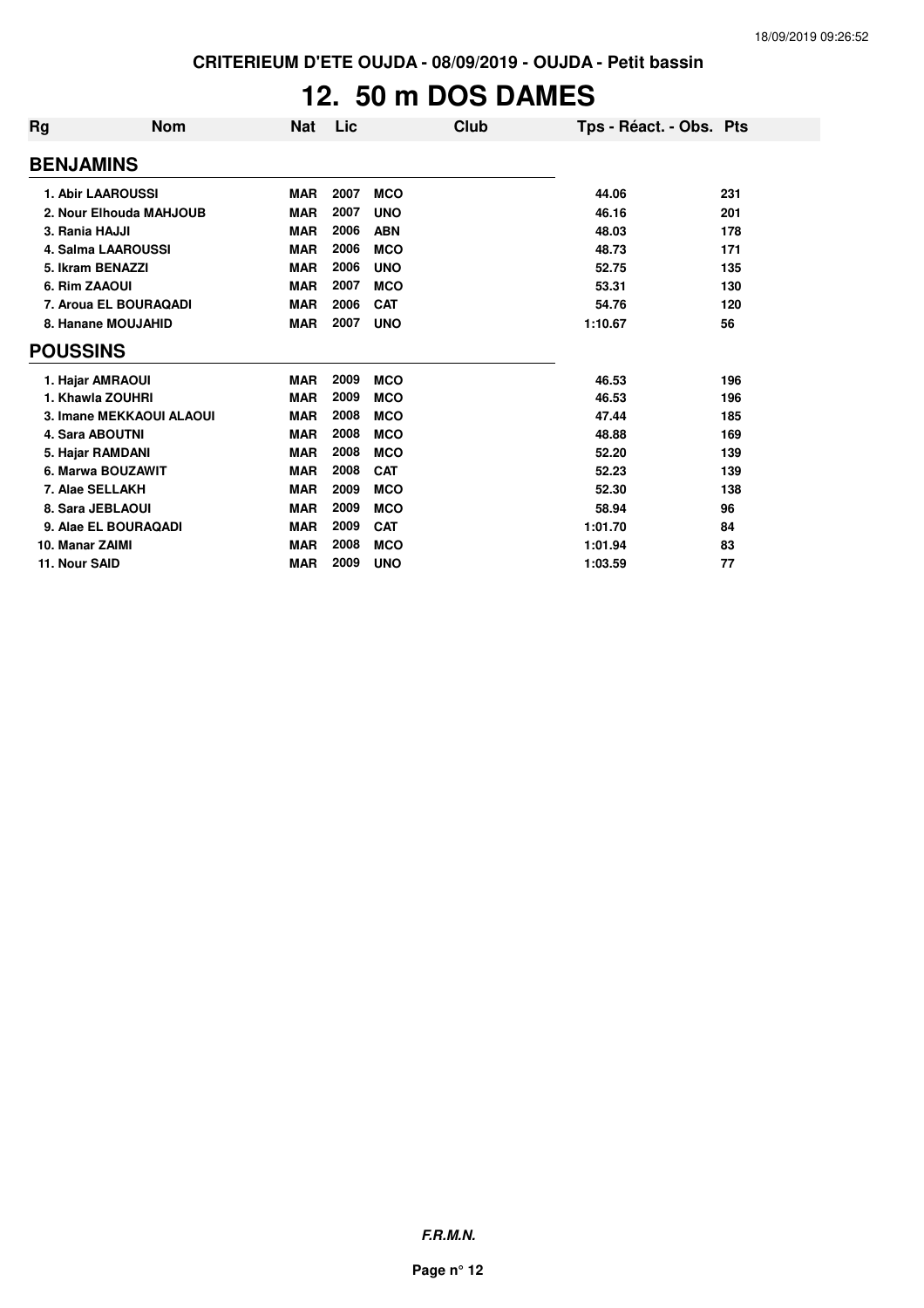# **12. 50 m DOS DAMES**

| Rg               | <b>Nom</b>                | <b>Nat</b> | Lic  | Club       | Tps - Réact. - Obs. Pts |     |
|------------------|---------------------------|------------|------|------------|-------------------------|-----|
| <b>BENJAMINS</b> |                           |            |      |            |                         |     |
|                  | <b>1. Abir LAAROUSSI</b>  | <b>MAR</b> | 2007 | <b>MCO</b> | 44.06                   | 231 |
|                  | 2. Nour Elhouda MAHJOUB   | <b>MAR</b> | 2007 | <b>UNO</b> | 46.16                   | 201 |
| 3. Rania HAJJI   |                           | <b>MAR</b> | 2006 | <b>ABN</b> | 48.03                   | 178 |
|                  | <b>4. Salma LAAROUSSI</b> | <b>MAR</b> | 2006 | <b>MCO</b> | 48.73                   | 171 |
|                  | 5. Ikram BENAZZI          | <b>MAR</b> | 2006 | <b>UNO</b> | 52.75                   | 135 |
| 6. Rim ZAAOUI    |                           | <b>MAR</b> | 2007 | <b>MCO</b> | 53.31                   | 130 |
|                  | 7. Aroua EL BOURAQADI     | <b>MAR</b> | 2006 | <b>CAT</b> | 54.76                   | 120 |
|                  | 8. Hanane MOUJAHID        | <b>MAR</b> | 2007 | <b>UNO</b> | 1:10.67                 | 56  |
| <b>POUSSINS</b>  |                           |            |      |            |                         |     |
|                  | 1. Hajar AMRAOUI          | <b>MAR</b> | 2009 | <b>MCO</b> | 46.53                   | 196 |
|                  | 1. Khawla ZOUHRI          | <b>MAR</b> | 2009 | <b>MCO</b> | 46.53                   | 196 |
|                  | 3. Imane MEKKAOUI ALAOUI  | <b>MAR</b> | 2008 | <b>MCO</b> | 47.44                   | 185 |
|                  | <b>4. Sara ABOUTNI</b>    | <b>MAR</b> | 2008 | <b>MCO</b> | 48.88                   | 169 |
|                  | 5. Hajar RAMDANI          | <b>MAR</b> | 2008 | <b>MCO</b> | 52.20                   | 139 |
|                  | 6. Marwa BOUZAWIT         | <b>MAR</b> | 2008 | <b>CAT</b> | 52.23                   | 139 |
|                  | 7. Alae SELLAKH           | <b>MAR</b> | 2009 | <b>MCO</b> | 52.30                   | 138 |
|                  | 8. Sara JEBLAOUI          | <b>MAR</b> | 2009 | <b>MCO</b> | 58.94                   | 96  |
|                  | 9. Alae EL BOURAQADI      | <b>MAR</b> | 2009 | <b>CAT</b> | 1:01.70                 | 84  |
| 10. Manar ZAIMI  |                           | <b>MAR</b> | 2008 | <b>MCO</b> | 1:01.94                 | 83  |
| 11. Nour SAID    |                           | <b>MAR</b> | 2009 | <b>UNO</b> | 1:03.59                 | 77  |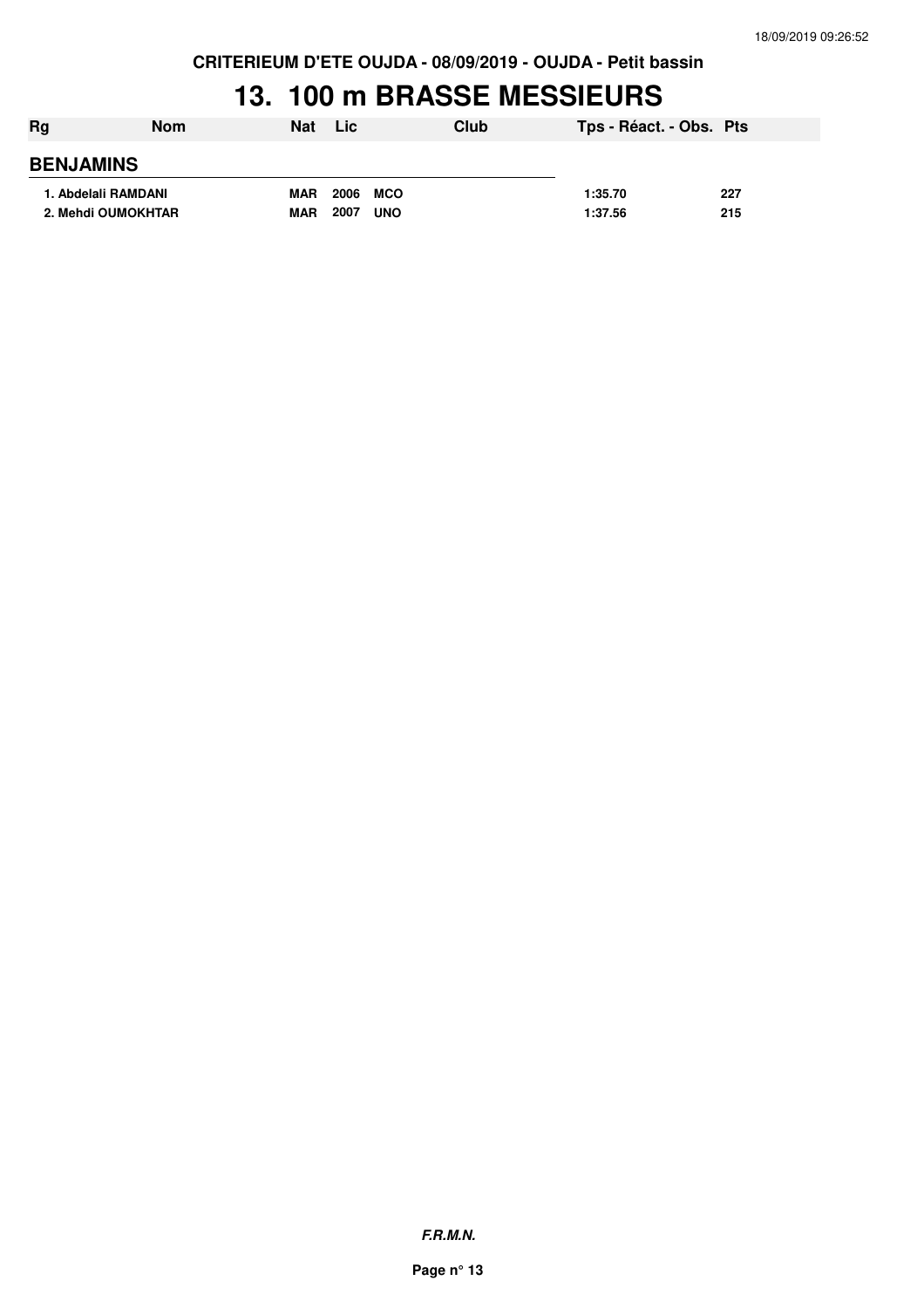**CRITERIEUM D'ETE OUJDA - 08/09/2019 - OUJDA - Petit bassin**

### **13. 100 m BRASSE MESSIEURS**

| Rg                  | Nom | <b>Nat</b> | <b>Lic</b>         | Club | Tps - Réact. - Obs. Pts |     |
|---------------------|-----|------------|--------------------|------|-------------------------|-----|
| <b>BENJAMINS</b>    |     |            |                    |      |                         |     |
| 1. Abdelali RAMDANI |     | <b>MAR</b> | 2006<br>MCO        |      | 1:35.70                 | 227 |
| 2. Mehdi OUMOKHTAR  |     | <b>MAR</b> | 2007<br><b>UNO</b> |      | 1:37.56                 | 215 |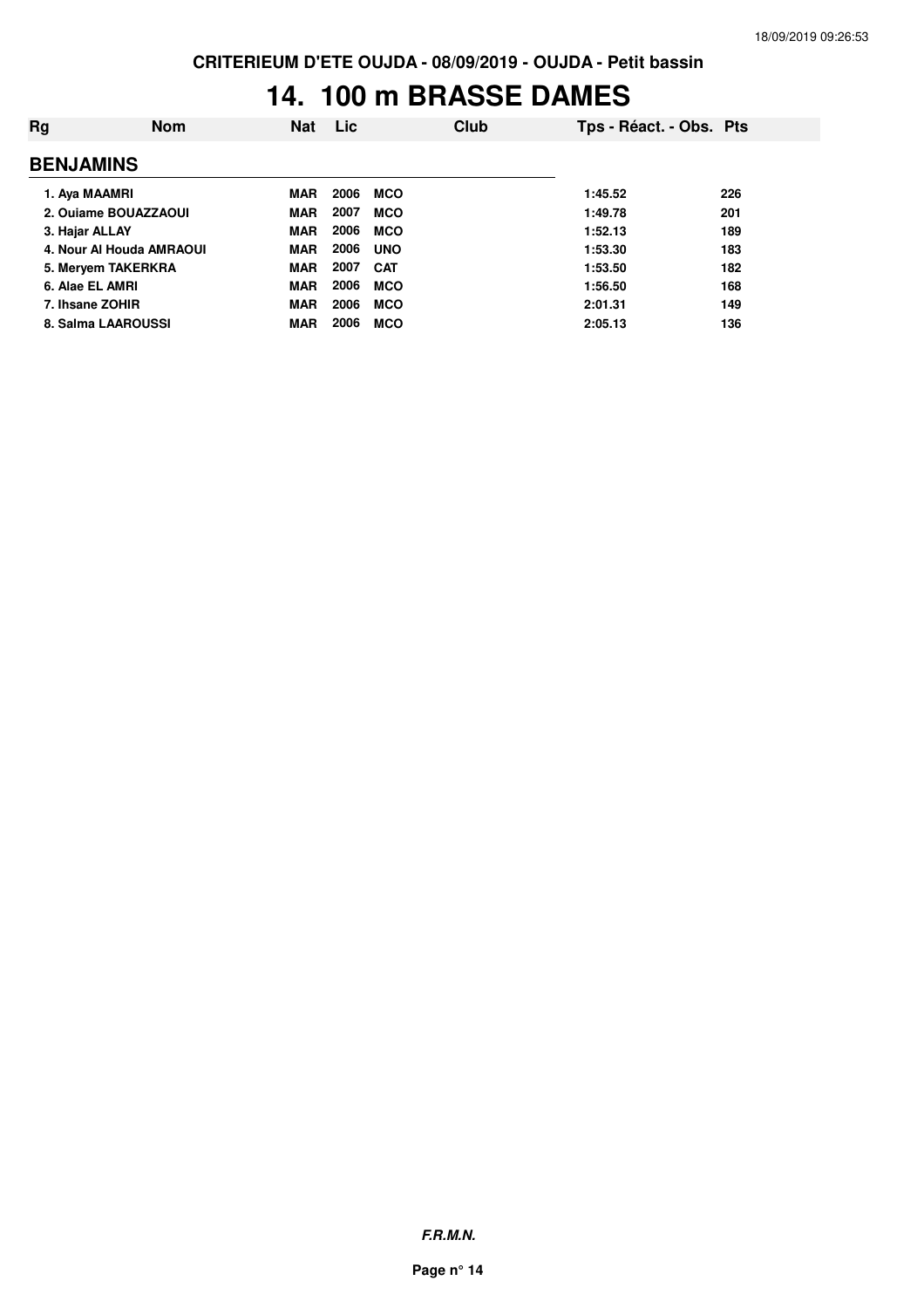# **14. 100 m BRASSE DAMES**

| Ra               | <b>Nom</b>               | <b>Nat</b> | Lic  | Club       | Tps - Réact. - Obs. Pts |     |
|------------------|--------------------------|------------|------|------------|-------------------------|-----|
| <b>BENJAMINS</b> |                          |            |      |            |                         |     |
|                  | 1. Aya MAAMRI            | <b>MAR</b> | 2006 | <b>MCO</b> | 1:45.52                 | 226 |
|                  | 2. Ouiame BOUAZZAOUI     | <b>MAR</b> | 2007 | <b>MCO</b> | 1:49.78                 | 201 |
| 3. Hajar ALLAY   |                          | <b>MAR</b> | 2006 | <b>MCO</b> | 1:52.13                 | 189 |
|                  | 4. Nour Al Houda AMRAOUI | <b>MAR</b> | 2006 | <b>UNO</b> | 1:53.30                 | 183 |
|                  | 5. Meryem TAKERKRA       | <b>MAR</b> | 2007 | <b>CAT</b> | 1:53.50                 | 182 |
|                  | 6. Alae EL AMRI          | <b>MAR</b> | 2006 | <b>MCO</b> | 1:56.50                 | 168 |
|                  | 7. Ihsane ZOHIR          | <b>MAR</b> | 2006 | <b>MCO</b> | 2:01.31                 | 149 |
|                  | 8. Salma LAAROUSSI       | <b>MAR</b> | 2006 | <b>MCO</b> | 2:05.13                 | 136 |
|                  |                          |            |      |            |                         |     |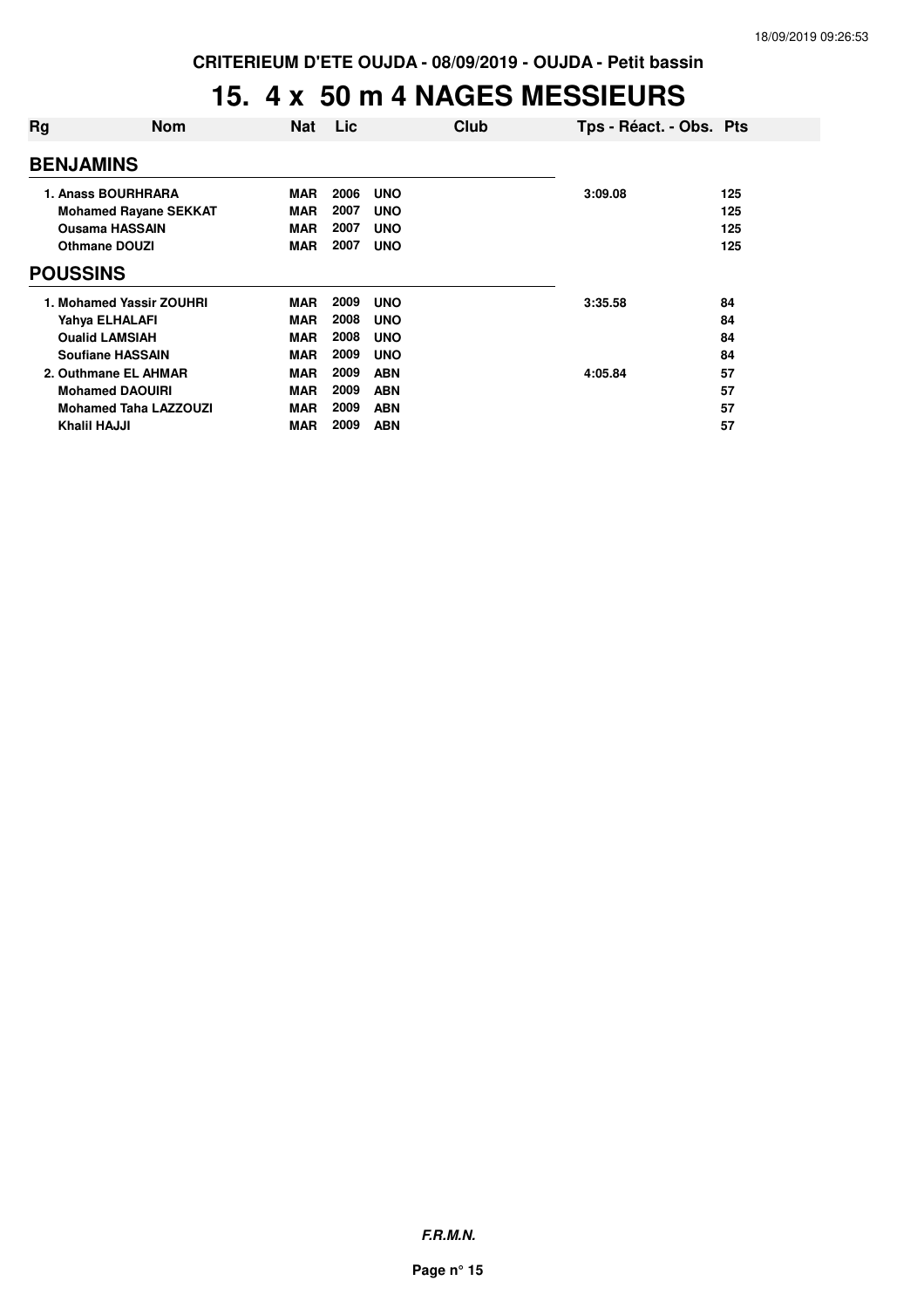#### **15. 4 x 50 m 4 NAGES MESSIEURS**

| Rg                           | <b>Nom</b>                                                                                                                                                                                                                                                                                                                                       | <b>Nat</b> | Lic  | Club       |         | Tps - Réact. - Obs. Pts |  |  |
|------------------------------|--------------------------------------------------------------------------------------------------------------------------------------------------------------------------------------------------------------------------------------------------------------------------------------------------------------------------------------------------|------------|------|------------|---------|-------------------------|--|--|
|                              | <b>BENJAMINS</b><br>2006<br><b>MAR</b><br><b>UNO</b><br>3:09.08<br>125<br>2007<br><b>MAR</b><br><b>UNO</b><br>125<br>2007<br><b>MAR</b><br><b>UNO</b><br>125<br>2007<br><b>MAR</b><br><b>Othmane DOUZI</b><br><b>UNO</b><br>125<br>2009<br><b>UNO</b><br>84<br><b>MAR</b><br>3:35.58<br>2008<br><b>MAR</b><br><b>UNO</b><br>84<br>Yahya ELHALAFI |            |      |            |         |                         |  |  |
| 1. Anass BOURHRARA           |                                                                                                                                                                                                                                                                                                                                                  |            |      |            |         |                         |  |  |
| <b>Mohamed Rayane SEKKAT</b> |                                                                                                                                                                                                                                                                                                                                                  |            |      |            |         |                         |  |  |
| <b>Ousama HASSAIN</b>        |                                                                                                                                                                                                                                                                                                                                                  |            |      |            |         |                         |  |  |
|                              |                                                                                                                                                                                                                                                                                                                                                  |            |      |            |         |                         |  |  |
| <b>POUSSINS</b>              |                                                                                                                                                                                                                                                                                                                                                  |            |      |            |         |                         |  |  |
| 1. Mohamed Yassir ZOUHRI     |                                                                                                                                                                                                                                                                                                                                                  |            |      |            |         |                         |  |  |
|                              |                                                                                                                                                                                                                                                                                                                                                  |            |      |            |         |                         |  |  |
|                              | <b>Oualid LAMSIAH</b>                                                                                                                                                                                                                                                                                                                            | <b>MAR</b> | 2008 | <b>UNO</b> |         | 84                      |  |  |
|                              | <b>Soufiane HASSAIN</b>                                                                                                                                                                                                                                                                                                                          | <b>MAR</b> | 2009 | <b>UNO</b> |         | 84                      |  |  |
|                              | 2. Outhmane EL AHMAR                                                                                                                                                                                                                                                                                                                             | <b>MAR</b> | 2009 | <b>ABN</b> | 4:05.84 | 57                      |  |  |
|                              | <b>Mohamed DAOUIRI</b>                                                                                                                                                                                                                                                                                                                           | <b>MAR</b> | 2009 | <b>ABN</b> |         | 57                      |  |  |
|                              | <b>Mohamed Taha LAZZOUZI</b>                                                                                                                                                                                                                                                                                                                     | <b>MAR</b> | 2009 | <b>ABN</b> |         | 57                      |  |  |
| <b>Khalil HAJJI</b>          |                                                                                                                                                                                                                                                                                                                                                  | MAR        | 2009 | <b>ABN</b> |         | 57                      |  |  |